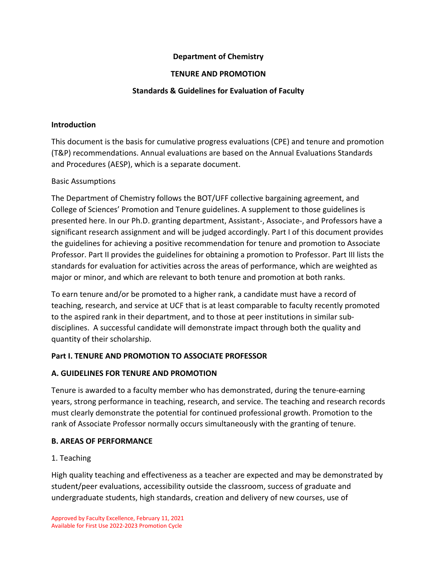## **Department of Chemistry**

### **TENURE AND PROMOTION**

## **Standards & Guidelines for Evaluation of Faculty**

#### **Introduction**

This document is the basis for cumulative progress evaluations (CPE) and tenure and promotion (T&P) recommendations. Annual evaluations are based on the Annual Evaluations Standards and Procedures (AESP), which is a separate document.

#### Basic Assumptions

The Department of Chemistry follows the BOT/UFF collective bargaining agreement, and College of Sciences' Promotion and Tenure guidelines. A supplement to those guidelines is presented here. In our Ph.D. granting department, Assistant-, Associate-, and Professors have a significant research assignment and will be judged accordingly. Part I of this document provides the guidelines for achieving a positive recommendation for tenure and promotion to Associate Professor. Part II provides the guidelines for obtaining a promotion to Professor. Part III lists the standards for evaluation for activities across the areas of performance, which are weighted as major or minor, and which are relevant to both tenure and promotion at both ranks.

To earn tenure and/or be promoted to a higher rank, a candidate must have a record of teaching, research, and service at UCF that is at least comparable to faculty recently promoted to the aspired rank in their department, and to those at peer institutions in similar subdisciplines. A successful candidate will demonstrate impact through both the quality and quantity of their scholarship.

## **Part I. TENURE AND PROMOTION TO ASSOCIATE PROFESSOR**

## **A. GUIDELINES FOR TENURE AND PROMOTION**

Tenure is awarded to a faculty member who has demonstrated, during the tenure-earning years, strong performance in teaching, research, and service. The teaching and research records must clearly demonstrate the potential for continued professional growth. Promotion to the rank of Associate Professor normally occurs simultaneously with the granting of tenure.

## **B. AREAS OF PERFORMANCE**

## 1. Teaching

High quality teaching and effectiveness as a teacher are expected and may be demonstrated by student/peer evaluations, accessibility outside the classroom, success of graduate and undergraduate students, high standards, creation and delivery of new courses, use of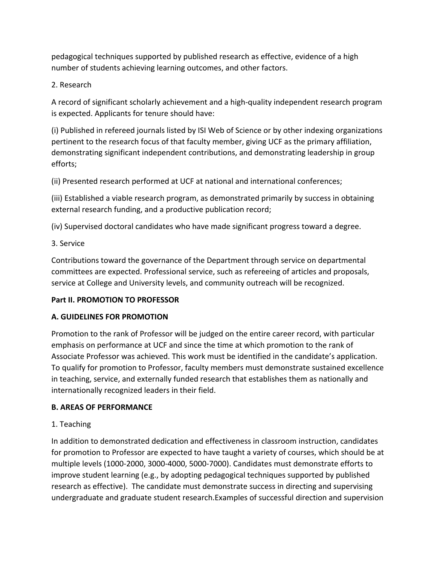pedagogical techniques supported by published research as effective, evidence of a high number of students achieving learning outcomes, and other factors.

2. Research

A record of significant scholarly achievement and a high-quality independent research program is expected. Applicants for tenure should have:

(i) Published in refereed journals listed by ISI Web of Science or by other indexing organizations pertinent to the research focus of that faculty member, giving UCF as the primary affiliation, demonstrating significant independent contributions, and demonstrating leadership in group efforts;

(ii) Presented research performed at UCF at national and international conferences;

(iii) Established a viable research program, as demonstrated primarily by success in obtaining external research funding, and a productive publication record;

(iv) Supervised doctoral candidates who have made significant progress toward a degree.

3. Service

Contributions toward the governance of the Department through service on departmental committees are expected. Professional service, such as refereeing of articles and proposals, service at College and University levels, and community outreach will be recognized.

# **Part II. PROMOTION TO PROFESSOR**

## **A. GUIDELINES FOR PROMOTION**

Promotion to the rank of Professor will be judged on the entire career record, with particular emphasis on performance at UCF and since the time at which promotion to the rank of Associate Professor was achieved. This work must be identified in the candidate's application. To qualify for promotion to Professor, faculty members must demonstrate sustained excellence in teaching, service, and externally funded research that establishes them as nationally and internationally recognized leaders in their field.

# **B. AREAS OF PERFORMANCE**

# 1. Teaching

In addition to demonstrated dedication and effectiveness in classroom instruction, candidates for promotion to Professor are expected to have taught a variety of courses, which should be at multiple levels (1000-2000, 3000-4000, 5000-7000). Candidates must demonstrate efforts to improve student learning (e.g., by adopting pedagogical techniques supported by published research as effective). The candidate must demonstrate success in directing and supervising undergraduate and graduate student research.Examples of successful direction and supervision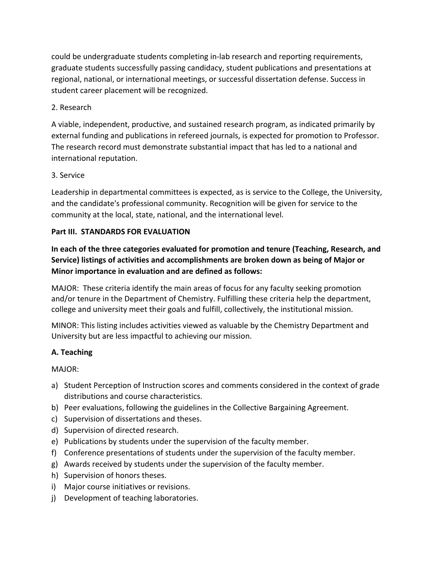could be undergraduate students completing in-lab research and reporting requirements, graduate students successfully passing candidacy, student publications and presentations at regional, national, or international meetings, or successful dissertation defense. Success in student career placement will be recognized.

## 2. Research

A viable, independent, productive, and sustained research program, as indicated primarily by external funding and publications in refereed journals, is expected for promotion to Professor. The research record must demonstrate substantial impact that has led to a national and international reputation.

## 3. Service

Leadership in departmental committees is expected, as is service to the College, the University, and the candidate's professional community. Recognition will be given for service to the community at the local, state, national, and the international level.

## **Part III. STANDARDS FOR EVALUATION**

**In each of the three categories evaluated for promotion and tenure (Teaching, Research, and Service) listings of activities and accomplishments are broken down as being of Major or Minor importance in evaluation and are defined as follows:** 

MAJOR: These criteria identify the main areas of focus for any faculty seeking promotion and/or tenure in the Department of Chemistry. Fulfilling these criteria help the department, college and university meet their goals and fulfill, collectively, the institutional mission.

MINOR: This listing includes activities viewed as valuable by the Chemistry Department and University but are less impactful to achieving our mission.

# **A. Teaching**

MAJOR:

- a) Student Perception of Instruction scores and comments considered in the context of grade distributions and course characteristics.
- b) Peer evaluations, following the guidelines in the Collective Bargaining Agreement.
- c) Supervision of dissertations and theses.
- d) Supervision of directed research.
- e) Publications by students under the supervision of the faculty member.
- f) Conference presentations of students under the supervision of the faculty member.
- g) Awards received by students under the supervision of the faculty member.
- h) Supervision of honors theses.
- i) Major course initiatives or revisions.
- j) Development of teaching laboratories.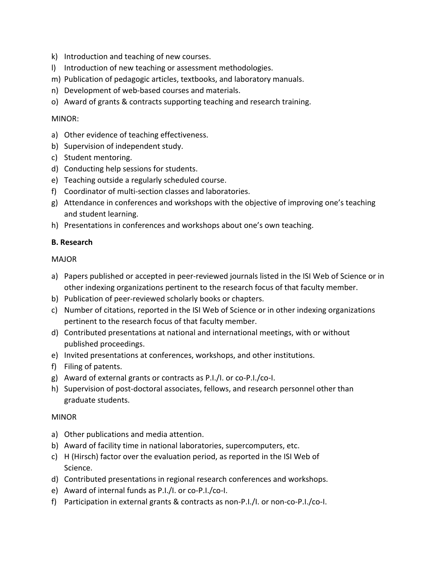- k) Introduction and teaching of new courses.
- l) Introduction of new teaching or assessment methodologies.
- m) Publication of pedagogic articles, textbooks, and laboratory manuals.
- n) Development of web-based courses and materials.
- o) Award of grants & contracts supporting teaching and research training.

#### MINOR:

- a) Other evidence of teaching effectiveness.
- b) Supervision of independent study.
- c) Student mentoring.
- d) Conducting help sessions for students.
- e) Teaching outside a regularly scheduled course.
- f) Coordinator of multi-section classes and laboratories.
- g) Attendance in conferences and workshops with the objective of improving one's teaching and student learning.
- h) Presentations in conferences and workshops about one's own teaching.

#### **B. Research**

#### MAJOR

- a) Papers published or accepted in peer-reviewed journals listed in the ISI Web of Science or in other indexing organizations pertinent to the research focus of that faculty member.
- b) Publication of peer-reviewed scholarly books or chapters.
- c) Number of citations, reported in the ISI Web of Science or in other indexing organizations pertinent to the research focus of that faculty member.
- d) Contributed presentations at national and international meetings, with or without published proceedings.
- e) Invited presentations at conferences, workshops, and other institutions.
- f) Filing of patents.
- g) Award of external grants or contracts as P.I./I. or co-P.I./co-I.
- h) Supervision of post-doctoral associates, fellows, and research personnel other than graduate students.

#### MINOR

- a) Other publications and media attention.
- b) Award of facility time in national laboratories, supercomputers, etc.
- c) H (Hirsch) factor over the evaluation period, as reported in the ISI Web of Science.
- d) Contributed presentations in regional research conferences and workshops.
- e) Award of internal funds as P.I./I. or co-P.I./co-I.
- f) Participation in external grants & contracts as non-P.I./I. or non-co-P.I./co-I.